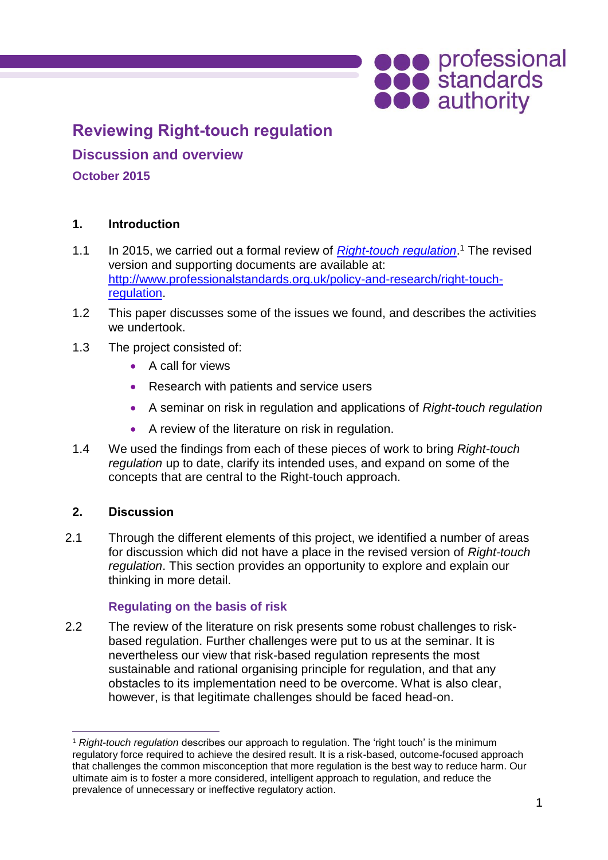# **OCO** professional<br> **OCO** standards<br> **OCO** authority

# **Reviewing Right-touch regulation**

**Discussion and overview**

# **October 2015**

# **1. Introduction**

- 1.1 In 2015, we carried out a formal review of *[Right-touch regulation](http://www.professionalstandards.org.uk/policy-and-research/right-touch-regulation)*. <sup>1</sup> The revised version and supporting documents are available at: [http://www.professionalstandards.org.uk/policy-and-research/right-touch](http://www.professionalstandards.org.uk/policy-and-research/right-touch-regulation)[regulation.](http://www.professionalstandards.org.uk/policy-and-research/right-touch-regulation)
- 1.2 This paper discusses some of the issues we found, and describes the activities we undertook.
- 1.3 The project consisted of:
	- A call for views
	- Research with patients and service users
	- A seminar on risk in regulation and applications of *Right-touch regulation*
	- A review of the literature on risk in regulation.
- 1.4 We used the findings from each of these pieces of work to bring *Right-touch regulation* up to date, clarify its intended uses, and expand on some of the concepts that are central to the Right-touch approach.

#### **2. Discussion**

2.1 Through the different elements of this project, we identified a number of areas for discussion which did not have a place in the revised version of *Right-touch regulation*. This section provides an opportunity to explore and explain our thinking in more detail.

# **Regulating on the basis of risk**

2.2 The review of the literature on risk presents some robust challenges to riskbased regulation. Further challenges were put to us at the seminar. It is nevertheless our view that risk-based regulation represents the most sustainable and rational organising principle for regulation, and that any obstacles to its implementation need to be overcome. What is also clear, however, is that legitimate challenges should be faced head-on.

 $\overline{a}$ <sup>1</sup> *Right-touch regulation* describes our approach to regulation. The 'right touch' is the minimum regulatory force required to achieve the desired result. It is a risk-based, outcome-focused approach that challenges the common misconception that more regulation is the best way to reduce harm. Our ultimate aim is to foster a more considered, intelligent approach to regulation, and reduce the prevalence of unnecessary or ineffective regulatory action.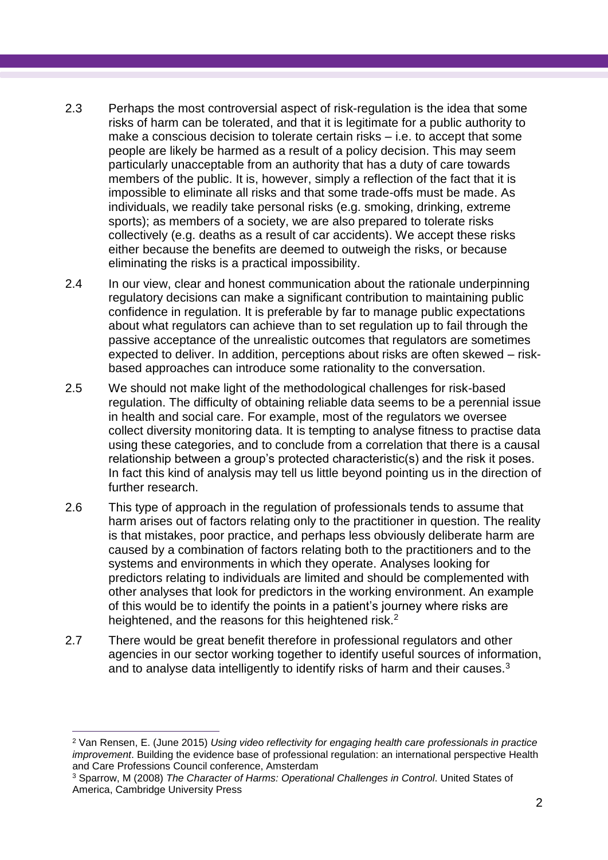- 2.3 Perhaps the most controversial aspect of risk-regulation is the idea that some risks of harm can be tolerated, and that it is legitimate for a public authority to make a conscious decision to tolerate certain risks – i.e. to accept that some people are likely be harmed as a result of a policy decision. This may seem particularly unacceptable from an authority that has a duty of care towards members of the public. It is, however, simply a reflection of the fact that it is impossible to eliminate all risks and that some trade-offs must be made. As individuals, we readily take personal risks (e.g. smoking, drinking, extreme sports); as members of a society, we are also prepared to tolerate risks collectively (e.g. deaths as a result of car accidents). We accept these risks either because the benefits are deemed to outweigh the risks, or because eliminating the risks is a practical impossibility.
- 2.4 In our view, clear and honest communication about the rationale underpinning regulatory decisions can make a significant contribution to maintaining public confidence in regulation. It is preferable by far to manage public expectations about what regulators can achieve than to set regulation up to fail through the passive acceptance of the unrealistic outcomes that regulators are sometimes expected to deliver. In addition, perceptions about risks are often skewed – riskbased approaches can introduce some rationality to the conversation.
- 2.5 We should not make light of the methodological challenges for risk-based regulation. The difficulty of obtaining reliable data seems to be a perennial issue in health and social care. For example, most of the regulators we oversee collect diversity monitoring data. It is tempting to analyse fitness to practise data using these categories, and to conclude from a correlation that there is a causal relationship between a group's protected characteristic(s) and the risk it poses. In fact this kind of analysis may tell us little beyond pointing us in the direction of further research.
- 2.6 This type of approach in the regulation of professionals tends to assume that harm arises out of factors relating only to the practitioner in question. The reality is that mistakes, poor practice, and perhaps less obviously deliberate harm are caused by a combination of factors relating both to the practitioners and to the systems and environments in which they operate. Analyses looking for predictors relating to individuals are limited and should be complemented with other analyses that look for predictors in the working environment. An example of this would be to identify the points in a patient's journey where risks are heightened, and the reasons for this heightened risk.<sup>2</sup>
- 2.7 There would be great benefit therefore in professional regulators and other agencies in our sector working together to identify useful sources of information, and to analyse data intelligently to identify risks of harm and their causes.<sup>3</sup>

 $\overline{a}$ 

<sup>2</sup> Van Rensen, E. (June 2015) *Using video reflectivity for engaging health care professionals in practice improvement*. Building the evidence base of professional regulation: an international perspective Health and Care Professions Council conference, Amsterdam

<sup>3</sup> Sparrow, M (2008) *The Character of Harms: Operational Challenges in Control*. United States of America, Cambridge University Press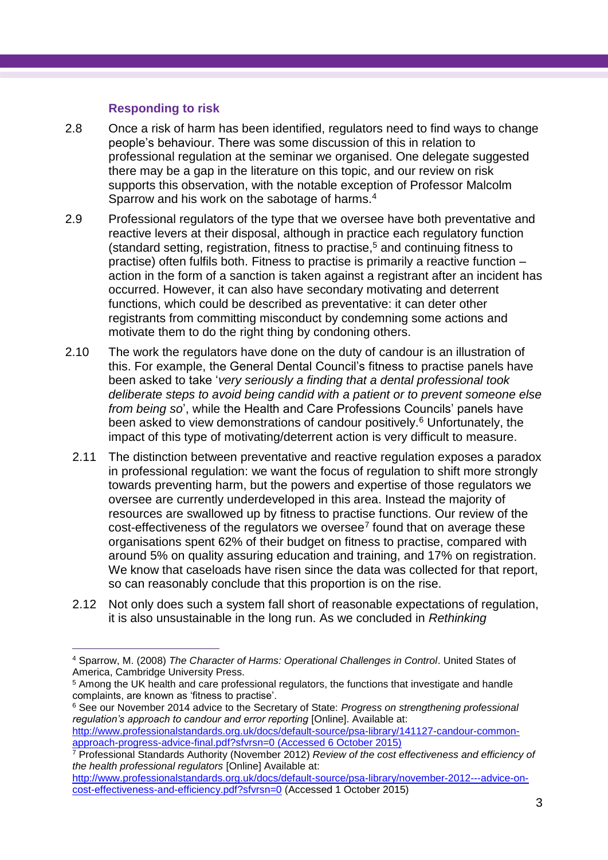#### **Responding to risk**

 $\overline{a}$ 

- 2.8 Once a risk of harm has been identified, regulators need to find ways to change people's behaviour. There was some discussion of this in relation to professional regulation at the seminar we organised. One delegate suggested there may be a gap in the literature on this topic, and our review on risk supports this observation, with the notable exception of Professor Malcolm Sparrow and his work on the sabotage of harms.<sup>4</sup>
- 2.9 Professional regulators of the type that we oversee have both preventative and reactive levers at their disposal, although in practice each regulatory function (standard setting, registration, fitness to practise,<sup>5</sup> and continuing fitness to practise) often fulfils both. Fitness to practise is primarily a reactive function – action in the form of a sanction is taken against a registrant after an incident has occurred. However, it can also have secondary motivating and deterrent functions, which could be described as preventative: it can deter other registrants from committing misconduct by condemning some actions and motivate them to do the right thing by condoning others.
- 2.10 The work the regulators have done on the duty of candour is an illustration of this. For example, the General Dental Council's fitness to practise panels have been asked to take '*very seriously a finding that a dental professional took deliberate steps to avoid being candid with a patient or to prevent someone else from being so*', while the Health and Care Professions Councils' panels have been asked to view demonstrations of candour positively.<sup>6</sup> Unfortunately, the impact of this type of motivating/deterrent action is very difficult to measure.
- 2.11 The distinction between preventative and reactive regulation exposes a paradox in professional regulation: we want the focus of regulation to shift more strongly towards preventing harm, but the powers and expertise of those regulators we oversee are currently underdeveloped in this area. Instead the majority of resources are swallowed up by fitness to practise functions. Our review of the  $cost$ -effectiveness of the regulators we oversee<sup>7</sup> found that on average these organisations spent 62% of their budget on fitness to practise, compared with around 5% on quality assuring education and training, and 17% on registration. We know that caseloads have risen since the data was collected for that report, so can reasonably conclude that this proportion is on the rise.
- 2.12 Not only does such a system fall short of reasonable expectations of regulation, it is also unsustainable in the long run. As we concluded in *Rethinking*

<sup>6</sup> See our November 2014 advice to the Secretary of State: *Progress on strengthening professional regulation's approach to candour and error reporting* [Online]. Available at: [http://www.professionalstandards.org.uk/docs/default-source/psa-library/141127-candour-common](http://www.professionalstandards.org.uk/docs/default-source/psa-library/141127-candour-common-approach-progress-advice-final.pdf?sfvrsn=0)[approach-progress-advice-final.pdf?sfvrsn=0](http://www.professionalstandards.org.uk/docs/default-source/psa-library/141127-candour-common-approach-progress-advice-final.pdf?sfvrsn=0) (Accessed 6 October 2015)

[http://www.professionalstandards.org.uk/docs/default-source/psa-library/november-2012---advice-on](http://www.professionalstandards.org.uk/docs/default-source/psa-library/november-2012---advice-on-cost-effectiveness-and-efficiency.pdf?sfvrsn=0)[cost-effectiveness-and-efficiency.pdf?sfvrsn=0](http://www.professionalstandards.org.uk/docs/default-source/psa-library/november-2012---advice-on-cost-effectiveness-and-efficiency.pdf?sfvrsn=0) (Accessed 1 October 2015)

<sup>4</sup> Sparrow, M. (2008) *The Character of Harms: Operational Challenges in Control*. United States of America, Cambridge University Press.

<sup>&</sup>lt;sup>5</sup> Among the UK health and care professional regulators, the functions that investigate and handle complaints, are known as 'fitness to practise'.

<sup>7</sup> Professional Standards Authority (November 2012) *Review of the cost effectiveness and efficiency of the health professional regulators* [Online] Available at: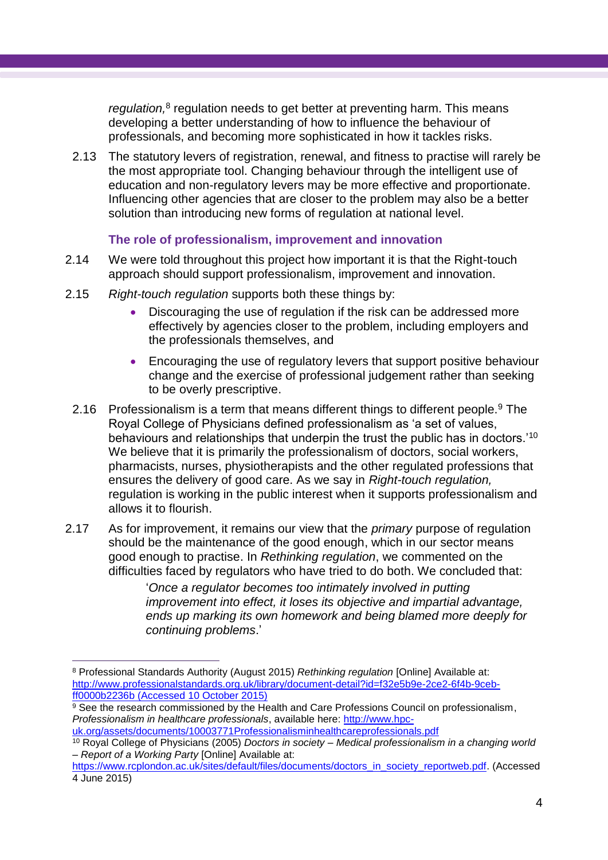regulation,<sup>8</sup> regulation needs to get better at preventing harm. This means developing a better understanding of how to influence the behaviour of professionals, and becoming more sophisticated in how it tackles risks.

2.13 The statutory levers of registration, renewal, and fitness to practise will rarely be the most appropriate tool. Changing behaviour through the intelligent use of education and non-regulatory levers may be more effective and proportionate. Influencing other agencies that are closer to the problem may also be a better solution than introducing new forms of regulation at national level.

#### **The role of professionalism, improvement and innovation**

- 2.14 We were told throughout this project how important it is that the Right-touch approach should support professionalism, improvement and innovation.
- 2.15 *Right-touch regulation* supports both these things by:
	- Discouraging the use of regulation if the risk can be addressed more effectively by agencies closer to the problem, including employers and the professionals themselves, and
	- Encouraging the use of regulatory levers that support positive behaviour change and the exercise of professional judgement rather than seeking to be overly prescriptive.
- 2.16 Professionalism is a term that means different things to different people.<sup>9</sup> The Royal College of Physicians defined professionalism as 'a set of values, behaviours and relationships that underpin the trust the public has in doctors.'<sup>10</sup> We believe that it is primarily the professionalism of doctors, social workers, pharmacists, nurses, physiotherapists and the other regulated professions that ensures the delivery of good care. As we say in *Right-touch regulation,*  regulation is working in the public interest when it supports professionalism and allows it to flourish.
- 2.17 As for improvement, it remains our view that the *primary* purpose of regulation should be the maintenance of the good enough, which in our sector means good enough to practise. In *Rethinking regulation*, we commented on the difficulties faced by regulators who have tried to do both. We concluded that:

'*Once a regulator becomes too intimately involved in putting improvement into effect, it loses its objective and impartial advantage, ends up marking its own homework and being blamed more deeply for continuing problems*.'

 $\overline{a}$ <sup>8</sup> Professional Standards Authority (August 2015) *Rethinking regulation* [Online] Available at: [http://www.professionalstandards.org.uk/library/document-detail?id=f32e5b9e-2ce2-6f4b-9ceb](http://www.professionalstandards.org.uk/library/document-detail?id=f32e5b9e-2ce2-6f4b-9ceb-ff0000b2236b)[ff0000b2236b](http://www.professionalstandards.org.uk/library/document-detail?id=f32e5b9e-2ce2-6f4b-9ceb-ff0000b2236b) (Accessed 10 October 2015)

<sup>&</sup>lt;sup>9</sup> See the research commissioned by the Health and Care Professions Council on professionalism, *Professionalism in healthcare professionals*, available here: [http://www.hpc](http://www.hpc-uk.org/assets/documents/10003771Professionalisminhealthcareprofessionals.pdf)[uk.org/assets/documents/10003771Professionalisminhealthcareprofessionals.pdf](http://www.hpc-uk.org/assets/documents/10003771Professionalisminhealthcareprofessionals.pdf)

<sup>10</sup> Royal College of Physicians (2005) *Doctors in society – Medical professionalism in a changing world – Report of a Working Party* [Online] Available at:

[https://www.rcplondon.ac.uk/sites/default/files/documents/doctors\\_in\\_society\\_reportweb.pdf.](https://www.rcplondon.ac.uk/sites/default/files/documents/doctors_in_society_reportweb.pdf) (Accessed 4 June 2015)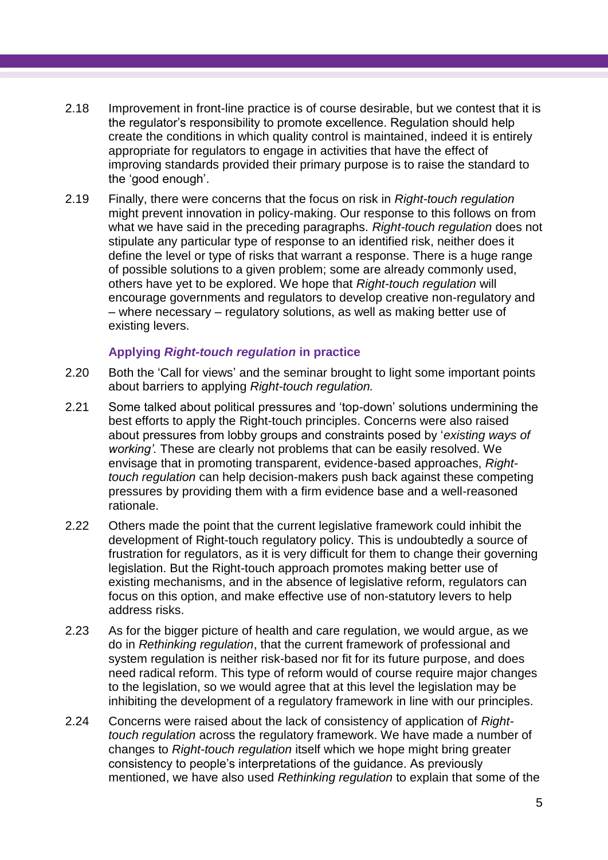- 2.18 Improvement in front-line practice is of course desirable, but we contest that it is the regulator's responsibility to promote excellence. Regulation should help create the conditions in which quality control is maintained, indeed it is entirely appropriate for regulators to engage in activities that have the effect of improving standards provided their primary purpose is to raise the standard to the 'good enough'.
- 2.19 Finally, there were concerns that the focus on risk in *Right-touch regulation*  might prevent innovation in policy-making. Our response to this follows on from what we have said in the preceding paragraphs. *Right-touch regulation* does not stipulate any particular type of response to an identified risk, neither does it define the level or type of risks that warrant a response. There is a huge range of possible solutions to a given problem; some are already commonly used, others have yet to be explored. We hope that *Right-touch regulation* will encourage governments and regulators to develop creative non-regulatory and – where necessary – regulatory solutions, as well as making better use of existing levers.

# **Applying** *Right-touch regulation* **in practice**

- 2.20 Both the 'Call for views' and the seminar brought to light some important points about barriers to applying *Right-touch regulation.*
- 2.21 Some talked about political pressures and 'top-down' solutions undermining the best efforts to apply the Right-touch principles. Concerns were also raised about pressures from lobby groups and constraints posed by '*existing ways of working'.* These are clearly not problems that can be easily resolved. We envisage that in promoting transparent, evidence-based approaches, *Righttouch regulation* can help decision-makers push back against these competing pressures by providing them with a firm evidence base and a well-reasoned rationale.
- 2.22 Others made the point that the current legislative framework could inhibit the development of Right-touch regulatory policy. This is undoubtedly a source of frustration for regulators, as it is very difficult for them to change their governing legislation. But the Right-touch approach promotes making better use of existing mechanisms, and in the absence of legislative reform, regulators can focus on this option, and make effective use of non-statutory levers to help address risks.
- 2.23 As for the bigger picture of health and care regulation, we would argue, as we do in *Rethinking regulation*, that the current framework of professional and system regulation is neither risk-based nor fit for its future purpose, and does need radical reform. This type of reform would of course require major changes to the legislation, so we would agree that at this level the legislation may be inhibiting the development of a regulatory framework in line with our principles.
- 2.24 Concerns were raised about the lack of consistency of application of *Righttouch regulation* across the regulatory framework. We have made a number of changes to *Right-touch regulation* itself which we hope might bring greater consistency to people's interpretations of the guidance. As previously mentioned, we have also used *Rethinking regulation* to explain that some of the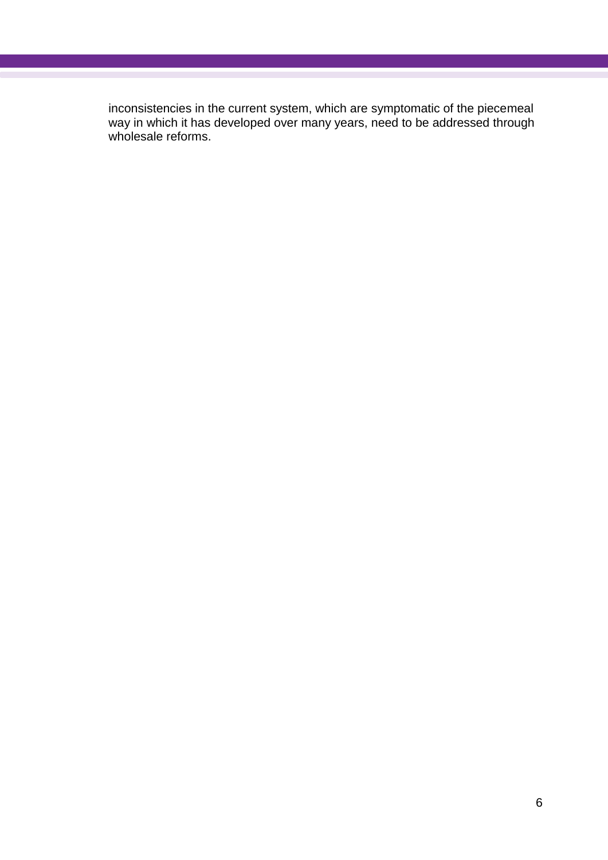inconsistencies in the current system, which are symptomatic of the piecemeal way in which it has developed over many years, need to be addressed through wholesale reforms.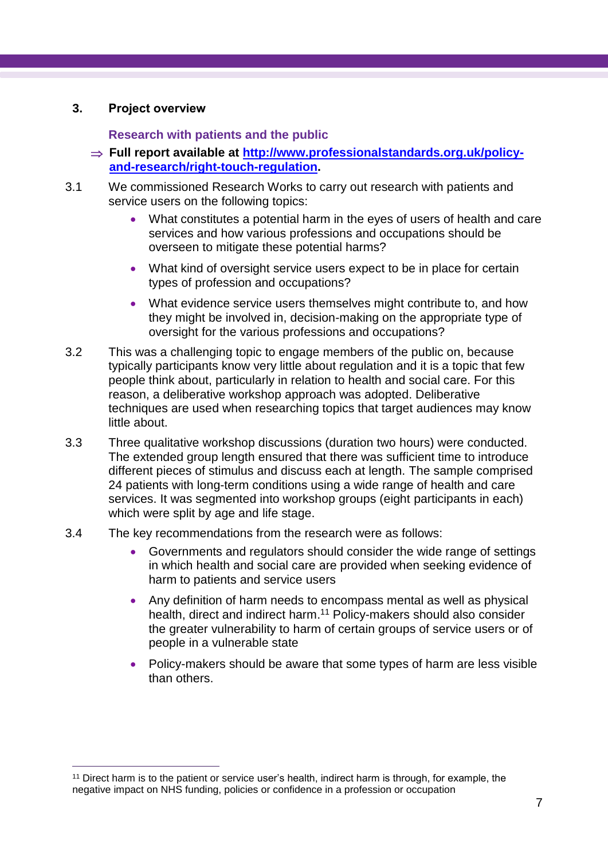# **3. Project overview**

 $\overline{a}$ 

# **Research with patients and the public**

- **Full report available at [http://www.professionalstandards.org.uk/policy](http://www.professionalstandards.org.uk/policy-and-research/right-touch-regulation)[and-research/right-touch-regulation.](http://www.professionalstandards.org.uk/policy-and-research/right-touch-regulation)**
- 3.1 We commissioned Research Works to carry out research with patients and service users on the following topics:
	- What constitutes a potential harm in the eyes of users of health and care services and how various professions and occupations should be overseen to mitigate these potential harms?
	- What kind of oversight service users expect to be in place for certain types of profession and occupations?
	- What evidence service users themselves might contribute to, and how they might be involved in, decision-making on the appropriate type of oversight for the various professions and occupations?
- 3.2 This was a challenging topic to engage members of the public on, because typically participants know very little about regulation and it is a topic that few people think about, particularly in relation to health and social care. For this reason, a deliberative workshop approach was adopted. Deliberative techniques are used when researching topics that target audiences may know little about.
- 3.3 Three qualitative workshop discussions (duration two hours) were conducted. The extended group length ensured that there was sufficient time to introduce different pieces of stimulus and discuss each at length. The sample comprised 24 patients with long-term conditions using a wide range of health and care services. It was segmented into workshop groups (eight participants in each) which were split by age and life stage.
- 3.4 The key recommendations from the research were as follows:
	- Governments and regulators should consider the wide range of settings in which health and social care are provided when seeking evidence of harm to patients and service users
	- Any definition of harm needs to encompass mental as well as physical health, direct and indirect harm. <sup>11</sup> Policy-makers should also consider the greater vulnerability to harm of certain groups of service users or of people in a vulnerable state
	- Policy-makers should be aware that some types of harm are less visible than others.

<sup>11</sup> Direct harm is to the patient or service user's health, indirect harm is through, for example, the negative impact on NHS funding, policies or confidence in a profession or occupation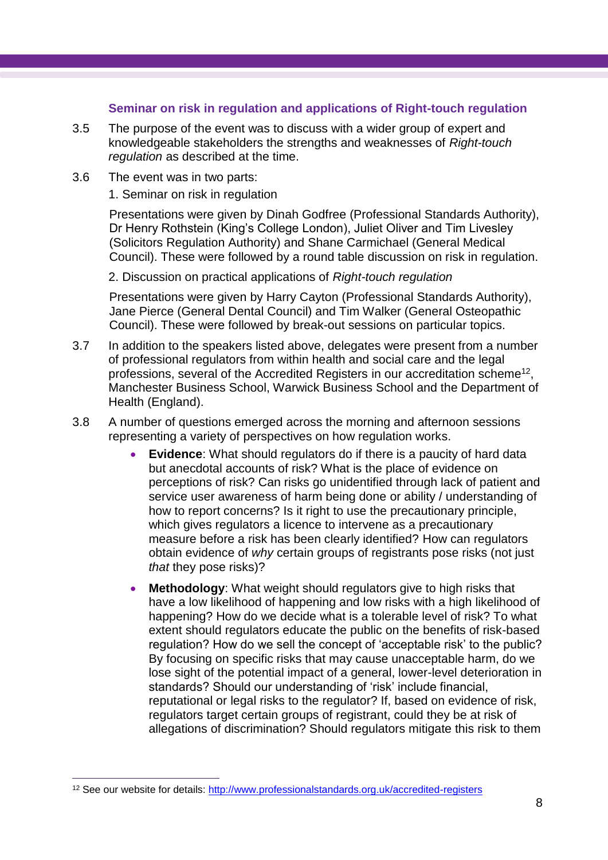#### **Seminar on risk in regulation and applications of Right-touch regulation**

- 3.5 The purpose of the event was to discuss with a wider group of expert and knowledgeable stakeholders the strengths and weaknesses of *Right-touch regulation* as described at the time.
- 3.6 The event was in two parts:

1. Seminar on risk in regulation

Presentations were given by Dinah Godfree (Professional Standards Authority), Dr Henry Rothstein (King's College London), Juliet Oliver and Tim Livesley (Solicitors Regulation Authority) and Shane Carmichael (General Medical Council). These were followed by a round table discussion on risk in regulation.

2. Discussion on practical applications of *Right-touch regulation*

Presentations were given by Harry Cayton (Professional Standards Authority), Jane Pierce (General Dental Council) and Tim Walker (General Osteopathic Council). These were followed by break-out sessions on particular topics.

- 3.7 In addition to the speakers listed above, delegates were present from a number of professional regulators from within health and social care and the legal professions, several of the Accredited Registers in our accreditation scheme<sup>12</sup>, Manchester Business School, Warwick Business School and the Department of Health (England).
- 3.8 A number of questions emerged across the morning and afternoon sessions representing a variety of perspectives on how regulation works.
	- **Evidence**: What should regulators do if there is a paucity of hard data but anecdotal accounts of risk? What is the place of evidence on perceptions of risk? Can risks go unidentified through lack of patient and service user awareness of harm being done or ability / understanding of how to report concerns? Is it right to use the precautionary principle, which gives regulators a licence to intervene as a precautionary measure before a risk has been clearly identified? How can regulators obtain evidence of *why* certain groups of registrants pose risks (not just *that* they pose risks)?
	- **Methodology**: What weight should regulators give to high risks that have a low likelihood of happening and low risks with a high likelihood of happening? How do we decide what is a tolerable level of risk? To what extent should regulators educate the public on the benefits of risk-based regulation? How do we sell the concept of 'acceptable risk' to the public? By focusing on specific risks that may cause unacceptable harm, do we lose sight of the potential impact of a general, lower-level deterioration in standards? Should our understanding of 'risk' include financial, reputational or legal risks to the regulator? If, based on evidence of risk, regulators target certain groups of registrant, could they be at risk of allegations of discrimination? Should regulators mitigate this risk to them

 $\overline{a}$ 

<sup>&</sup>lt;sup>12</sup> See our website for details:<http://www.professionalstandards.org.uk/accredited-registers>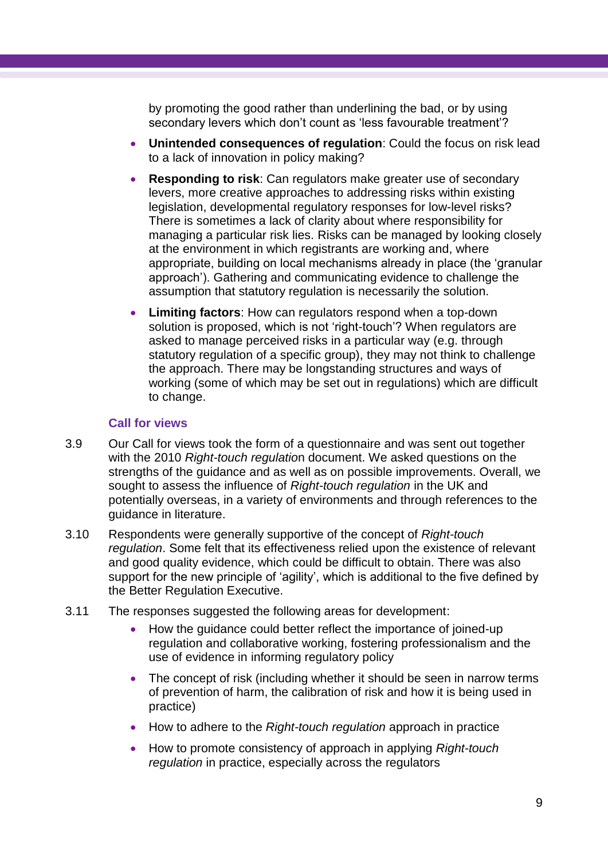by promoting the good rather than underlining the bad, or by using secondary levers which don't count as 'less favourable treatment'?

- **Unintended consequences of regulation**: Could the focus on risk lead to a lack of innovation in policy making?
- **Responding to risk**: Can regulators make greater use of secondary levers, more creative approaches to addressing risks within existing legislation, developmental regulatory responses for low-level risks? There is sometimes a lack of clarity about where responsibility for managing a particular risk lies. Risks can be managed by looking closely at the environment in which registrants are working and, where appropriate, building on local mechanisms already in place (the 'granular approach'). Gathering and communicating evidence to challenge the assumption that statutory regulation is necessarily the solution.
- **Limiting factors**: How can regulators respond when a top-down solution is proposed, which is not 'right-touch'? When regulators are asked to manage perceived risks in a particular way (e.g. through statutory regulation of a specific group), they may not think to challenge the approach. There may be longstanding structures and ways of working (some of which may be set out in regulations) which are difficult to change.

#### **Call for views**

- 3.9 Our Call for views took the form of a questionnaire and was sent out together with the 2010 *Right-touch regulatio*n document. We asked questions on the strengths of the guidance and as well as on possible improvements. Overall, we sought to assess the influence of *Right-touch regulation* in the UK and potentially overseas, in a variety of environments and through references to the guidance in literature.
- 3.10 Respondents were generally supportive of the concept of *Right-touch regulation*. Some felt that its effectiveness relied upon the existence of relevant and good quality evidence, which could be difficult to obtain. There was also support for the new principle of 'agility', which is additional to the five defined by the Better Regulation Executive.
- 3.11 The responses suggested the following areas for development:
	- How the guidance could better reflect the importance of joined-up regulation and collaborative working, fostering professionalism and the use of evidence in informing regulatory policy
	- The concept of risk (including whether it should be seen in narrow terms of prevention of harm, the calibration of risk and how it is being used in practice)
	- How to adhere to the *Right-touch regulation* approach in practice
	- How to promote consistency of approach in applying *Right-touch regulation* in practice, especially across the regulators